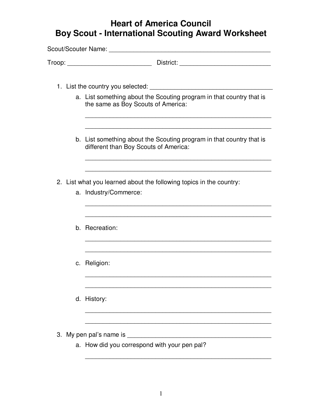## **Heart of America Council Boy Scout - International Scouting Award Worksheet**

| Troop: District: District:                                                                                    |
|---------------------------------------------------------------------------------------------------------------|
| 1. List the country you selected:                                                                             |
| a. List something about the Scouting program in that country that is<br>the same as Boy Scouts of America:    |
| b. List something about the Scouting program in that country that is<br>different than Boy Scouts of America: |
| 2. List what you learned about the following topics in the country:<br>a. Industry/Commerce:                  |
|                                                                                                               |
| b. Recreation:                                                                                                |
| c. Religion:                                                                                                  |
| d. History:                                                                                                   |

\_\_\_\_\_\_\_\_\_\_\_\_\_\_\_\_\_\_\_\_\_\_\_\_\_\_\_\_\_\_\_\_\_\_\_\_\_\_\_\_\_\_\_\_\_\_\_\_\_\_\_\_\_